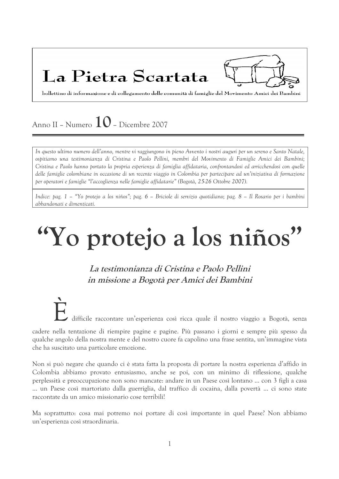# La Pietra Scartata



bollettino di informazione e di collegamento delle comunità di famiglie del Movimento Amici dei Bambini

# Anno II - Numero  $10$  - Dicembre 2007

In questo ultimo numero dell'anno, mentre vi raggiungono in pieno Avvento i nostri auguri per un sereno e Santo Natale, ospitiamo una testimonianza di Cristina e Paolo Pellini, membri del Movimento di Famiglie Amici dei Bambini; Cristina e Paolo hanno portato la propria esperienza di famiglia affidataria, confrontandosi ed arricchendosi con quelle delle famiglie colombiane in occasione di un recente viaggio in Colombia per partecipare ad un'iniziativa di formazione per operatori e famiglie "l'accoglienza nelle famiglie affidatarie" (Bogotà, 25-26 Ottobre 2007).

Indice: pag. 1 – "Yo protejo a los niños"; pag. 6 – Briciole di servizio quotidiano; pag. 8 – Il Rosario per i bambini abbandonati e dimenticati.

# "Yo protejo a los niños"

La testimonianza di Cristina e Paolo Pellini in missione a Bogotà per Amici dei Bambini

## difficile raccontare un'esperienza così ricca quale il nostro viaggio a Bogotà, senza

cadere nella tentazione di riempire pagine e pagine. Più passano i giorni e sempre più spesso da qualche angolo della nostra mente e del nostro cuore fa capolino una frase sentita, un'immagine vista che ha suscitato una particolare emozione.

Non si può negare che quando ci è stata fatta la proposta di portare la nostra esperienza d'affido in Colombia abbiamo provato entusiasmo, anche se poi, con un minimo di riflessione, qualche perplessità e preoccupazione non sono mancate: andare in un Paese così lontano ... con 3 figli a casa ... un Paese così martoriato dalla guerriglia, dal traffico di cocaina, dalla povertà ... ci sono state raccontate da un amico missionario cose terribili!

Ma soprattutto: cosa mai potremo noi portare di così importante in quel Paese? Non abbiamo un'esperienza così straordinaria.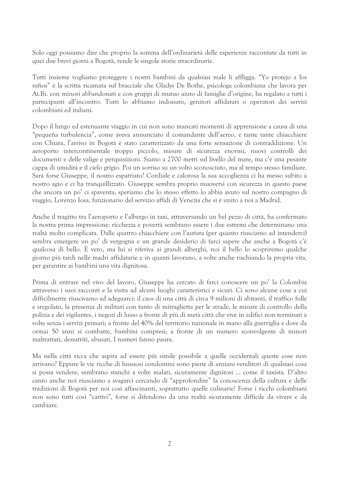Solo oggi possiamo dire che proprio la somma dell'ordinarietà delle esperienze raccontate da tutti in quei due brevi giorni a Bogotà, rende le singole storie straordinarie.

Tutti insieme vogliamo proteggere i nostri bambini da qualsiasi male li affligga. "Yo protejo a los niños" è la scritta ricamata sul bracciale che Gladys De Bothe, psicologa colombiana che lavora per Ai.Bi. con minori abbandonati e con gruppi di mutuo aiuto di famiglie d'origine, ha regalato a tutti i partecipanti all'incontro. Tutti lo abbiamo indossato, genitori affidatari o operatori dei servizi colombiani ed italiani.

Dopo il lungo ed estenuante viaggio in cui non sono mancati momenti di apprensione a causa di una "pequeña turbulencia", come aveva annunciato il comandante dell'aereo, e tante tante chiacchiere con Chiara, l'arrivo in Bogotà è stato caratterizzato da una forte sensazione di contraddizione. Un aeroporto intercontinentale troppo piccolo, misure di sicurezza enormi, nuovi controlli dei documenti e delle valige e perquisizioni. Siamo a 2700 metri sul livello del mare, ma c'è una pesante cappa di umidità e il cielo grigio. Poi un sorriso su un volto sconosciuto, ma al tempo stesso familiare. Sarà forse Giuseppe, il nostro espatriato? Cordiale e calorosa la sua accoglienza ci ha messo subito a nostro agio e ci ha tranquillizzato. Giuseppe sembra proprio muoversi con sicurezza in questo paese che ancora un po' ci spaventa; speriamo che lo stesso effetto lo abbia avuto sul nostro compagno di viaggio, Lorenzo Iosa, funzionario del servizio affidi di Venezia che si è unito a noi a Madrid.

Anche il tragitto tra l'aeroporto e l'albergo in taxi, attraversando un bel pezzo di città, ha confermato la nostra prima impressione: ricchezza e povertà sembrano essere i due estremi che determinano una realtà molto complicata. Dalle quattro chiacchiere con l'autista (per quanto riusciamo ad intenderci) sembra emergere un po' di vergogna e un grande desiderio di farci sapere che anche a Bogotà c'è qualcosa di bello. E vero, ma lui si riferiva ai grandi alberghi, noi il bello lo scopriremo qualche giorno più tardi nelle madri affidatarie e in quanti lavorano, a volte anche rischiando la propria vita, per garantire ai bambini una vita dignitosa.

Prima di entrare nel vivo del lavoro, Giuseppe ha cercato di farci conoscere un po' la Colombia attraverso i suoi racconti e la visita ad alcuni luoghi caratteristici e sicuri. Ci sono alcune cose a cui difficilmente riuscivamo ad adeguarci: il caos di una città di circa 9 milioni di abitanti, il traffico folle e sregolato, la presenza di militari con tanto di mitraglietta per le strade, le misure di controllo della polizia e dei vigilantes, i negozi di lusso a fronte di più di metà città che vive in edifici non terminati a volte senza i servizi primari; a fronte del 40% del territorio nazionale in mano alla guerriglia e dove da ormai 50 anni si combatte, bambini compresi; a fronte di un numero sconvolgente di minori maltrattati, denutriti, abusati. I numeri fanno paura.

Ma nella città ricca che aspira ad essere più simile possibile a quelle occidentali queste cose non arrivano? Eppure le vie ricche di lussuosi condomini sono piene di anziani venditori di qualsiasi cosa si possa vendere, sembrano stanchi a volte malati, sicuramente dignitosi ... come il taxista. D'altro canto anche noi riusciamo a svagarci cercando di "approfondire" la conoscenza della cultura e delle tradizioni di Bogotà per noi così affascinanti, soprattutto quelle culinarie! Forse i ricchi colombiani non sono tutti così "cattivi", forse si difendono da una realtà sicuramente difficile da vivere e da cambiare.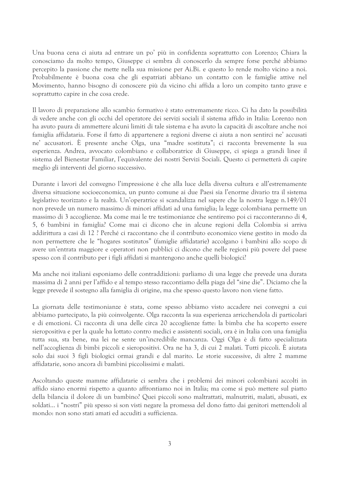Una buona cena ci aiuta ad entrare un po' più in confidenza soprattutto con Lorenzo; Chiara la conosciamo da molto tempo, Giuseppe ci sembra di conoscerlo da sempre forse perché abbiamo percepito la passione che mette nella sua missione per Ai.Bi. e questo lo rende molto vicino a noi. Probabilmente è buona cosa che gli espatriati abbiano un contatto con le famiglie attive nel Movimento, hanno bisogno di conoscere più da vicino chi affida a loro un compito tanto grave e soprattutto capire in che cosa crede.

Il lavoro di preparazione allo scambio formativo è stato estremamente ricco. Ci ha dato la possibilità di vedere anche con gli occhi del operatore dei servizi sociali il sistema affido in Italia: Lorenzo non ha avuto paura di ammettere alcuni limiti di tale sistema e ha avuto la capacità di ascoltare anche noi famiglia affidataria. Forse il fatto di appartenere a regioni diverse ci aiuta a non sentirci ne' accusati ne' accusatori. È presente anche Olga, una "madre sostituta"; ci racconta brevemente la sua esperienza. Andrea, avvocato colombiano e collaboratrice di Giuseppe, ci spiega a grandi linee il sistema del Bienestar Familiar, l'equivalente dei nostri Servizi Sociali. Questo ci permetterà di capire meglio gli interventi del giorno successivo.

Durante i lavori del convegno l'impressione è che alla luce della diversa cultura e all'estremamente diversa situazione socioeconomica, un punto comune ai due Paesi sia l'enorme divario tra il sistema legislativo teorizzato e la realtà. Un'operatrice si scandalizza nel sapere che la nostra legge n.149/01 non prevede un numero massimo di minori affidati ad una famiglia; la legge colombiana permette un massimo di 3 accoglienze. Ma come mai le tre testimonianze che sentiremo poi ci racconteranno di 4, 5, 6 bambini in famiglia? Come mai ci dicono che in alcune regioni della Colombia si arriva addirittura a casi di 12 ? Perché ci raccontano che il contributo economico viene gestito in modo da non permettere che le "hogares sostitutos" (famiglie affidatarie) accolgano i bambini allo scopo di avere un'entrata maggiore e operatori non pubblici ci dicono che nelle regioni più povere del paese spesso con il contributo per i figli affidati si mantengono anche quelli biologici?

Ma anche noi italiani esponiamo delle contraddizioni: parliamo di una legge che prevede una durata massima di 2 anni per l'affido e al tempo stesso raccontiamo della piaga del "sine die". Diciamo che la legge prevede il sostegno alla famiglia di origine, ma che spesso questo lavoro non viene fatto.

La giornata delle testimonianze è stata, come spesso abbiamo visto accadere nei convegni a cui abbiamo partecipato, la più coinvolgente. Olga racconta la sua esperienza arricchendola di particolari e di emozioni. Ci racconta di una delle circa 20 accoglienze fatte: la bimba che ha scoperto essere sieropositiva e per la quale ha lottato contro medici e assistenti sociali, ora è in Italia con una famiglia tutta sua, sta bene, ma lei ne sente un'incredibile mancanza. Oggi Olga è di fatto specializzata nell'accoglienza di bimbi piccoli e sieropositivi. Ora ne ha 3, di cui 2 malati. Tutti piccoli. È aiutata solo dai suoi 3 figli biologici ormai grandi e dal marito. Le storie successive, di altre 2 mamme affidatarie, sono ancora di bambini piccolissimi e malati.

Ascoltando queste mamme affidatarie ci sembra che i problemi dei minori colombiani accolti in affido siano enormi rispetto a quanto affrontiamo noi in Italia; ma come si può mettere sul piatto della bilancia il dolore di un bambino? Quei piccoli sono maltrattati, malnutriti, malati, abusati, ex soldati... i "nostri" più spesso si son visti negare la promessa del dono fatto dai genitori mettendoli al mondo: non sono stati amati ed accuditi a sufficienza.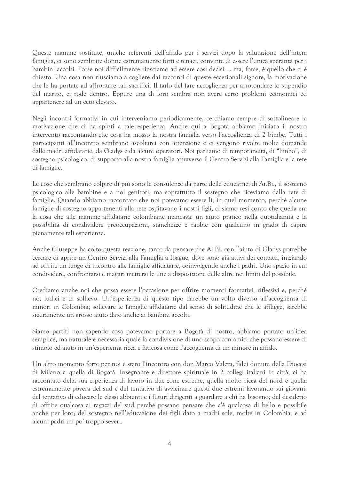Queste mamme sostitute, uniche referenti dell'affido per i servizi dopo la valutazione dell'intera famiglia, ci sono sembrate donne estremamente forti e tenaci; convinte di essere l'unica speranza per i bambini accolti. Forse noi difficilmente riusciamo ad essere così decisi ... ma, forse, è quello che ci è chiesto. Una cosa non riusciamo a cogliere dai racconti di queste eccezionali signore, la motivazione che le ha portate ad affrontare tali sacrifici. Il tarlo del fare accoglienza per arrotondare lo stipendio del marito, ci rode dentro. Eppure una di loro sembra non avere certo problemi economici ed appartenere ad un ceto elevato.

Negli incontri formativi in cui interveniamo periodicamente, cerchiamo sempre di sottolineare la motivazione che ci ha spinti a tale esperienza. Anche qui a Bogotà abbiamo iniziato il nostro intervento raccontando che cosa ha mosso la nostra famiglia verso l'accoglienza di 2 bimbe. Tutti i partecipanti all'incontro sembrano ascoltarci con attenzione e ci vengono rivolte molte domande dalle madri affidatarie, da Gladys e da alcuni operatori. Noi parliamo di temporaneità, di "limbo", di sostegno psicologico, di supporto alla nostra famiglia attraverso il Centro Servizi alla Famiglia e la rete di famiglie.

Le cose che sembrano colpire di più sono le consulenze da parte delle educatrici di Ai.Bi., il sostegno psicologico alle bambine e a noi genitori, ma soprattutto il sostegno che riceviamo dalla rete di famiglie. Quando abbiamo raccontato che noi potevamo essere lì, in quel momento, perché alcune famiglie di sostegno appartenenti alla rete ospitavano i nostri figli, ci siamo resi conto che quella era la cosa che alle mamme affidatarie colombiane mancava: un aiuto pratico nella quotidianità e la possibilità di condividere preoccupazioni, stanchezze e rabbie con qualcuno in grado di capire pienamente tali esperienze.

Anche Giuseppe ha colto questa reazione, tanto da pensare che Ai.Bi. con l'aiuto di Gladys potrebbe cercare di aprire un Centro Servizi alla Famiglia a Ibague, dove sono già attivi dei contatti, iniziando ad offrire un luogo di incontro alle famiglie affidatarie, coinvolgendo anche i padri. Uno spazio in cui condividere, confrontarsi e magari mettersi le une a disposizione delle altre nei limiti del possibile.

Crediamo anche noi che possa essere l'occasione per offrire momenti formativi, riflessivi e, perché no, ludici e di sollievo. Un'esperienza di questo tipo darebbe un volto diverso all'accoglienza di minori in Colombia; sollevare le famiglie affidatarie dal senso di solitudine che le affligge, sarebbe sicuramente un grosso aiuto dato anche ai bambini accolti.

Siamo partiti non sapendo cosa potevamo portare a Bogotà di nostro, abbiamo portato un'idea semplice, ma naturale e necessaria quale la condivisione di uno scopo con amici che possano essere di stimolo ed aiuto in un'esperienza ricca e faticosa come l'accoglienza di un minore in affido.

Un altro momento forte per noi è stato l'incontro con don Marco Valera, fidei donum della Diocesi di Milano a quella di Bogotà. Insegnante e direttore spirituale in 2 collegi italiani in città, ci ha raccontato della sua esperienza di lavoro in due zone estreme, quella molto ricca del nord e quella estremamente povera del sud e del tentativo di avvicinare questi due estremi lavorando sui giovani; del tentativo di educare le classi abbienti e i futuri dirigenti a guardare a chi ha bisogno; del desiderio di offrire qualcosa ai ragazzi del sud perché possano pensare che c'è qualcosa di bello e possibile anche per loro; del sostegno nell'educazione dei figli dato a madri sole, molte in Colombia, e ad alcuni padri un po' troppo severi.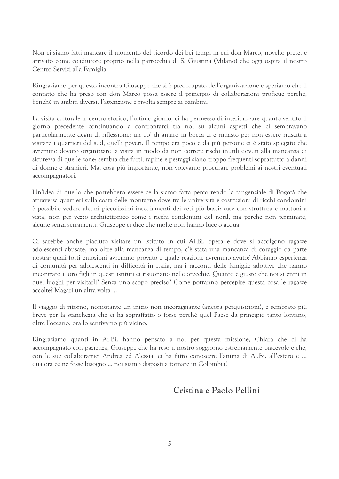Non ci siamo fatti mancare il momento del ricordo dei bei tempi in cui don Marco, novello prete, è arrivato come coadiutore proprio nella parrocchia di S. Giustina (Milano) che oggi ospita il nostro Centro Servizi alla Famiglia.

Ringraziamo per questo incontro Giuseppe che si è preoccupato dell'organizzazione e speriamo che il contatto che ha preso con don Marco possa essere il principio di collaborazioni proficue perché, benché in ambiti diversi, l'attenzione è rivolta sempre ai bambini.

La visita culturale al centro storico, l'ultimo giorno, ci ha permesso di interiorizzare quanto sentito il giorno precedente continuando a confrontarci tra noi su alcuni aspetti che ci sembravano particolarmente degni di riflessione; un po' di amaro in bocca ci è rimasto per non essere riusciti a visitare i quartieri del sud, quelli poveri. Il tempo era poco e da più persone ci è stato spiegato che avremmo dovuto organizzare la visita in modo da non correre rischi inutili dovuti alla mancanza di sicurezza di quelle zone; sembra che furti, rapine e pestaggi siano troppo frequenti soprattutto a danni di donne e stranieri. Ma, cosa più importante, non volevamo procurare problemi ai nostri eventuali accompagnatori.

Un'idea di quello che potrebbero essere ce la siamo fatta percorrendo la tangenziale di Bogotà che attraversa quartieri sulla costa delle montagne dove tra le università e costruzioni di ricchi condomini è possibile vedere alcuni piccolissimi insediamenti dei ceti più bassi: case con struttura e mattoni a vista, non per vezzo architettonico come i ricchi condomini del nord, ma perché non terminate; alcune senza serramenti. Giuseppe ci dice che molte non hanno luce o acqua.

Ci sarebbe anche piaciuto visitare un istituto in cui Ai.Bi. opera e dove si accolgono ragazze adolescenti abusate, ma oltre alla mancanza di tempo, c'è stata una mancanza di coraggio da parte nostra: quali forti emozioni avremmo provato e quale reazione avremmo avuto? Abbiamo esperienza di comunità per adolescenti in difficoltà in Italia, ma i racconti delle famiglie adottive che hanno incontrato i loro figli in questi istituti ci risuonano nelle orecchie. Quanto è giusto che noi si entri in quei luoghi per visitarli? Senza uno scopo preciso? Come potranno percepire questa cosa le ragazze accolte? Magari un'altra volta ...

Il viaggio di ritorno, nonostante un inizio non incoraggiante (ancora perquisizioni), è sembrato più breve per la stanchezza che ci ha sopraffatto o forse perché quel Paese da principio tanto lontano, oltre l'oceano, ora lo sentivamo più vicino.

Ringraziamo quanti in Ai.Bi, hanno pensato a noi per questa missione, Chiara che ci ha accompagnato con pazienza, Giuseppe che ha reso il nostro soggiorno estremamente piacevole e che, con le sue collaboratrici Andrea ed Alessia, ci ha fatto conoscere l'anima di Ai.Bi. all'estero e ... qualora ce ne fosse bisogno ... noi siamo disposti a tornare in Colombia!

## Cristina e Paolo Pellini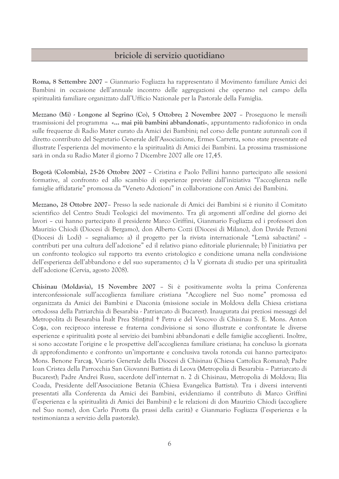### briciole di servizio quotidiano

Roma, 8 Settembre 2007 – Gianmario Fogliazza ha rappresentato il Movimento familiare Amici dei Bambini in occasione dell'annuale incontro delle aggregazioni che operano nel campo della spiritualità familiare organizzato dall'Ufficio Nazionale per la Pastorale della Famiglia.

Mezzano (Mi) - Longone al Segrino (Co), 5 Ottobre; 2 Novembre 2007 - Proseguono le mensili trasmissioni del programma «... mai più bambini abbandonati», appuntamento radiofonico in onda sulle frequenze di Radio Mater curato da Amici dei Bambini; nel corso delle puntate autunnali con il diretto contributo del Segretario Generale dell'Associazione, Ermes Carretta, sono state presentate ed illustrate l'esperienza del movimento e la spiritualità di Amici dei Bambini. La prossima trasmissione sarà in onda su Radio Mater il giorno 7 Dicembre 2007 alle ore 17,45.

Bogotà (Colombia), 25-26 Ottobre 2007 – Cristina e Paolo Pellini hanno partecipato alle sessioni formative, al confronto ed allo scambio di esperienze previste dall'iniziativa "l'accoglienza nelle famiglie affidatarie" promossa da "Veneto Adozioni" in collaborazione con Amici dei Bambini.

Mezzano, 28 Ottobre 2007 - Presso la sede nazionale di Amici dei Bambini si è riunito il Comitato scientifico del Centro Studi Teologici del movimento. Tra gli argomenti all'ordine del giorno dei lavori – cui hanno partecipato il presidente Marco Griffini, Gianmario Fogliazza ed i professori don Maurizio Chiodi (Diocesi di Bergamo), don Alberto Cozzi (Diocesi di Milano), don Davide Pezzoni (Diocesi di Lodi) - segnaliamo: a) il progetto per la rivista internazionale "Lemà sabactàni? contributi per una cultura dell'adozione" ed il relativo piano editoriale pluriennale; b) l'iniziativa per un confronto teologico sul rapporto tra evento cristologico e condizione umana nella condivisione dell'esperienza dell'abbandono e del suo superamento; c) la V giornata di studio per una spiritualità dell'adozione (Cervia, agosto 2008).

Chisinau (Moldavia), 15 Novembre 2007 - Si è positivamente svolta la prima Conferenza interconfessionale sull'accoglienza familiare cristiana "Accogliere nel Suo nome" promossa ed organizzata da Amici dei Bambini e Diaconia (missione sociale in Moldova della Chiesa cristiana ortodossa della Patriarchia di Besarabia - Patriarcato di Bucarest). Inaugurata dai preziosi messaggi del Metropolita di Besarabia Inalt Prea Sfințitul † Petru e del Vescovo di Chisinau S. E. Mons. Anton Cosa, con reciproco interesse e fraterna condivisione si sono illustrate e confrontate le diverse esperienze e spiritualità poste al servizio dei bambini abbandonati e delle famiglie accoglienti. Inoltre, si sono accostate l'origine e le prospettive dell'accoglienza familiare cristiana; ha concluso la giornata di approfondimento e confronto un'importante e conclusiva tavola rotonda cui hanno partecipato: Mons. Benone Farcas, Vicario Generale della Diocesi di Chisinau (Chiesa Cattolica Romana); Padre Ioan Cristea della Parrocchia San Giovanni Battista di Leova (Metropolia di Besarabia - Patriarcato di Bucarest); Padre Andrei Rusu, sacerdote dell'internat n. 2 di Chisinau, Metropolia di Moldova; Ilia Coada, Presidente dell'Associazione Betania (Chiesa Evangelica Battista). Tra i diversi interventi presentati alla Conferenza da Amici dei Bambini, evidenziamo il contributo di Marco Griffini (l'esperienza e la spiritualità di Amici dei Bambini) e le relazioni di don Maurizio Chiodi (accogliere nel Suo nome), don Carlo Pirotta (la prassi della carità) e Gianmario Fogliazza (l'esperienza e la testimonianza a servizio della pastorale).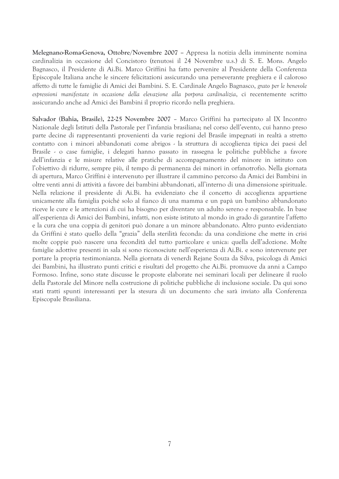Melegnano-Roma-Genova, Ottobre/Novembre 2007 - Appresa la notizia della imminente nomina cardinalizia in occasione del Concistoro (tenutosi il 24 Novembre u.s.) di S. E. Mons. Angelo Bagnasco, il Presidente di Ai.Bi. Marco Griffini ha fatto pervenire al Presidente della Conferenza Episcopale Italiana anche le sincere felicitazioni assicurando una perseverante preghiera e il caloroso affetto di tutte le famiglie di Amici dei Bambini. S. E. Cardinale Angelo Bagnasco, grato per le benevole espressioni manifestate in occasione della elevazione alla porpora cardinalizia, ci recentemente scritto assicurando anche ad Amici dei Bambini il proprio ricordo nella preghiera.

Salvador (Bahia, Brasile), 22-25 Novembre 2007 - Marco Griffini ha partecipato al IX Incontro Nazionale degli Istituti della Pastorale per l'infanzia brasiliana; nel corso dell'evento, cui hanno preso parte decine di rappresentanti provenienti da varie regioni del Brasile impegnati in realtà a stretto contatto con i minori abbandonati come abrigos - la struttura di accoglienza tipica dei paesi del Brasile - o case famiglie, i delegati hanno passato in rassegna le politiche pubbliche a favore dell'infanzia e le misure relative alle pratiche di accompagnamento del minore in istituto con l'obiettivo di ridurre, sempre più, il tempo di permanenza dei minori in orfanotrofio. Nella giornata di apertura, Marco Griffini è intervenuto per illustrare il cammino percorso da Amici dei Bambini in oltre venti anni di attività a favore dei bambini abbandonati, all'interno di una dimensione spirituale. Nella relazione il presidente di Ai.Bi. ha evidenziato che il concetto di accoglienza appartiene unicamente alla famiglia poiché solo al fianco di una mamma e un papà un bambino abbandonato riceve le cure e le attenzioni di cui ha bisogno per diventare un adulto sereno e responsabile. In base all'esperienza di Amici dei Bambini, infatti, non esiste istituto al mondo in grado di garantire l'affetto e la cura che una coppia di genitori può donare a un minore abbandonato. Altro punto evidenziato da Griffini è stato quello della "grazia" della sterilità feconda: da una condizione che mette in crisi molte coppie può nascere una fecondità del tutto particolare e unica: quella dell'adozione. Molte famiglie adottive presenti in sala si sono riconosciute nell'esperienza di Ai.Bi. e sono intervenute per portare la propria testimonianza. Nella giornata di venerdì Rejane Souza da Silva, psicologa di Amici dei Bambini, ha illustrato punti critici e risultati del progetto che Ai.Bi. promuove da anni a Campo Formoso. Infine, sono state discusse le proposte elaborate nei seminari locali per delineare il ruolo della Pastorale del Minore nella costruzione di politiche pubbliche di inclusione sociale. Da qui sono stati tratti spunti interessanti per la stesura di un documento che sarà inviato alla Conferenza Episcopale Brasiliana.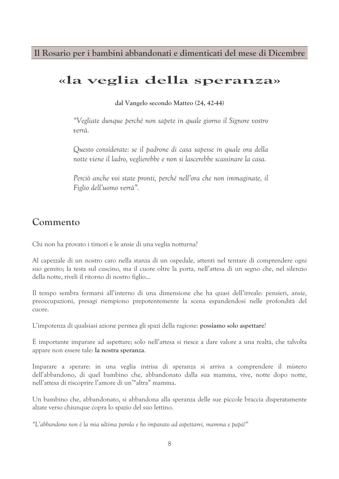Il Rosario per i bambini abbandonati e dimenticati del mese di Dicembre

# «la veglia della speranza»

dal Vangelo secondo Matteo (24, 42-44)

"Vegliate dunque perché non sapete in quale giorno il Signore vostro verrà.

Questo considerate: se il padrone di casa sapesse in quale ora della notte viene il ladro, veglierebbe e non si lascerebbe scassinare la casa.

Perciò anche voi state pronti, perché nell'ora che non immaginate, il Figlio dell'uomo verrà".

## Commento

Chi non ha provato i timori e le ansie di una veglia notturna?

Al capezzale di un nostro caro nella stanza di un ospedale, attenti nel tentare di comprendere ogni suo gemito; la testa sul cuscino, ma il cuore oltre la porta, nell'attesa di un segno che, nel silenzio della notte, riveli il ritorno di nostro figlio...

Il tempo sembra fermarsi all'interno di una dimensione che ha quasi dell'irreale: pensieri, ansie, preoccupazioni, presagi riempiono prepotentemente la scena espandendosi nelle profondità del cuore.

L'impotenza di qualsiasi azione permea gli spazi della ragione: possiamo solo aspettare!

È importante imparare ad aspettare; solo nell'attesa si riesce a dare valore a una realtà, che talvolta appare non essere tale: la nostra speranza.

Imparare a sperare: in una veglia intrisa di speranza si arriva a comprendere il mistero dell'abbandono, di quel bambino che, abbandonato dalla sua mamma, vive, notte dopo notte, nell'attesa di riscoprire l'amore di un'"altra" mamma.

Un bambino che, abbandonato, si abbandona alla speranza delle sue piccole braccia disperatamente alzate verso chiunque copra lo spazio del suo lettino.

"L'abbandono non è la mia ultima parola e ho imparato ad aspettarvi, mamma e papà!"